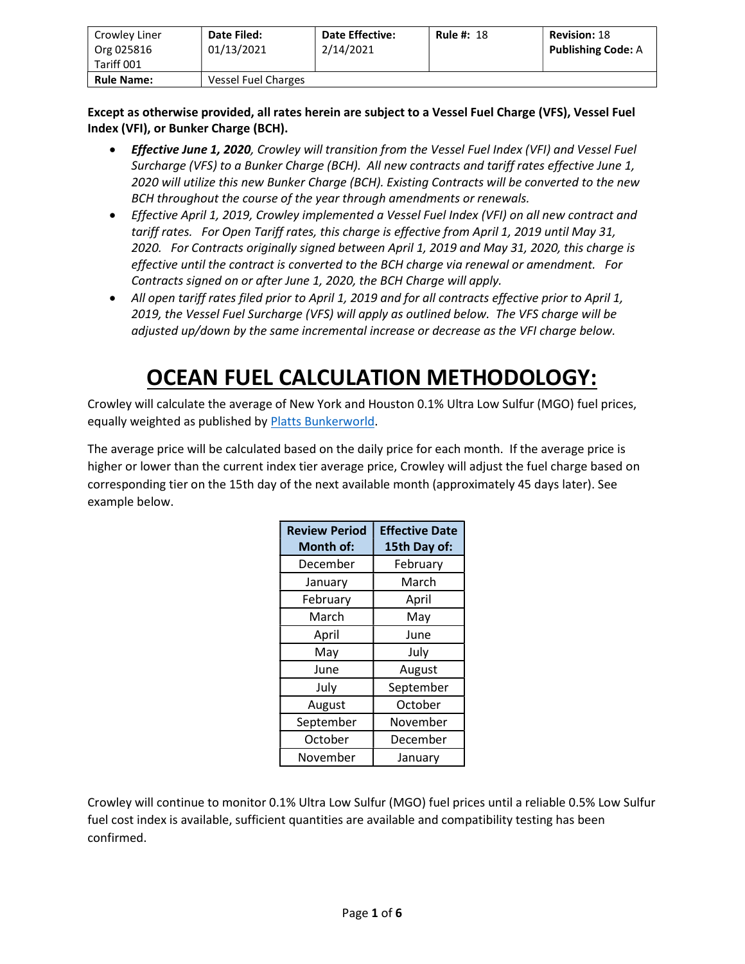| Crowley Liner<br>Org 025816<br>Tariff 001 | Date Filed:<br>01/13/2021 | <b>Date Effective:</b><br>2/14/2021 | <b>Rule #: 18</b> | <b>Revision: 18</b><br><b>Publishing Code: A</b> |
|-------------------------------------------|---------------------------|-------------------------------------|-------------------|--------------------------------------------------|
| <b>Rule Name:</b>                         | Vessel Fuel Charges       |                                     |                   |                                                  |

Except as otherwise provided, all rates herein are subject to a Vessel Fuel Charge (VFS), Vessel Fuel Index (VFI), or Bunker Charge (BCH).

- Effective June 1, 2020, Crowley will transition from the Vessel Fuel Index (VFI) and Vessel Fuel Surcharge (VFS) to a Bunker Charge (BCH). All new contracts and tariff rates effective June 1, 2020 will utilize this new Bunker Charge (BCH). Existing Contracts will be converted to the new BCH throughout the course of the year through amendments or renewals.
- Effective April 1, 2019, Crowley implemented a Vessel Fuel Index (VFI) on all new contract and tariff rates. For Open Tariff rates, this charge is effective from April 1, 2019 until May 31, 2020. For Contracts originally signed between April 1, 2019 and May 31, 2020, this charge is effective until the contract is converted to the BCH charge via renewal or amendment. For Contracts signed on or after June 1, 2020, the BCH Charge will apply.
- All open tariff rates filed prior to April 1, 2019 and for all contracts effective prior to April 1, 2019, the Vessel Fuel Surcharge (VFS) will apply as outlined below. The VFS charge will be adjusted up/down by the same incremental increase or decrease as the VFI charge below.

## OCEAN FUEL CALCULATION METHODOLOGY:

Crowley will calculate the average of New York and Houston 0.1% Ultra Low Sulfur (MGO) fuel prices, equally weighted as published by Platts Bunkerworld.

The average price will be calculated based on the daily price for each month. If the average price is higher or lower than the current index tier average price, Crowley will adjust the fuel charge based on corresponding tier on the 15th day of the next available month (approximately 45 days later). See example below.

| <b>Review Period</b><br><b>Month of:</b> | <b>Effective Date</b><br>15th Day of: |
|------------------------------------------|---------------------------------------|
| December                                 | February                              |
| January                                  | March                                 |
| February                                 | April                                 |
| March                                    | May                                   |
| April                                    | June                                  |
| May                                      | July                                  |
| June                                     | August                                |
| July                                     | September                             |
| August                                   | October                               |
| September                                | November                              |
| October                                  | December                              |
| November                                 | January                               |

Crowley will continue to monitor 0.1% Ultra Low Sulfur (MGO) fuel prices until a reliable 0.5% Low Sulfur fuel cost index is available, sufficient quantities are available and compatibility testing has been confirmed.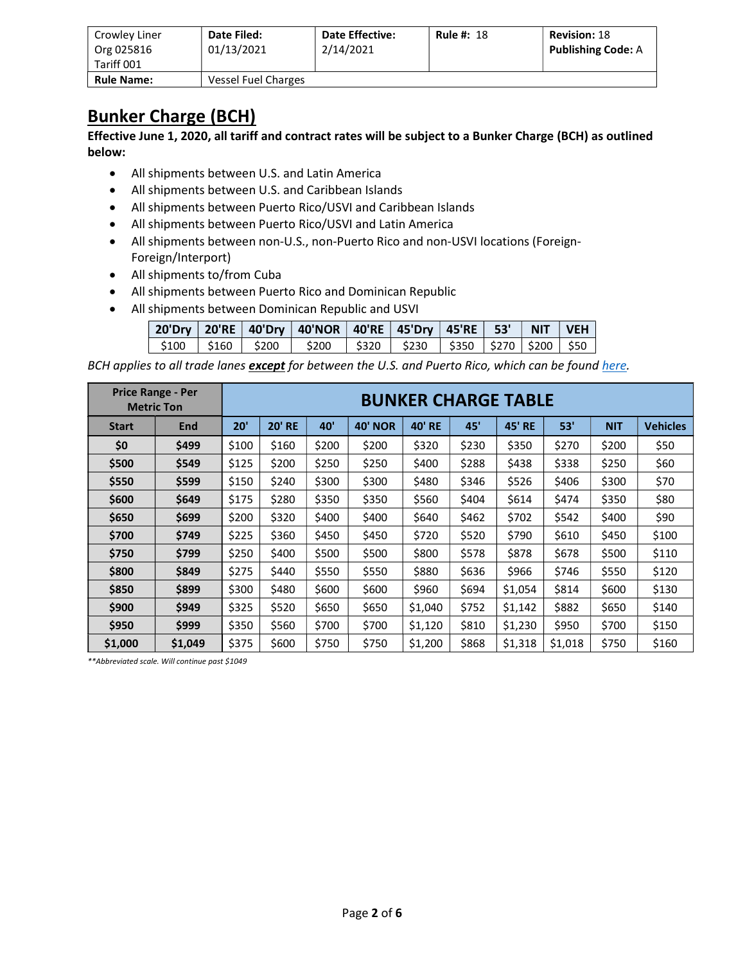| Crowley Liner<br>Org 025816<br>Tariff 001 | Date Filed:<br>01/13/2021 | <b>Date Effective:</b><br>2/14/2021 | <b>Rule #: 18</b> | <b>Revision: 18</b><br><b>Publishing Code: A</b> |
|-------------------------------------------|---------------------------|-------------------------------------|-------------------|--------------------------------------------------|
| <b>Rule Name:</b>                         | Vessel Fuel Charges       |                                     |                   |                                                  |

## Bunker Charge (BCH)

Effective June 1, 2020, all tariff and contract rates will be subject to a Bunker Charge (BCH) as outlined below:

- All shipments between U.S. and Latin America
- All shipments between U.S. and Caribbean Islands
- All shipments between Puerto Rico/USVI and Caribbean Islands
- All shipments between Puerto Rico/USVI and Latin America
- All shipments between non-U.S., non-Puerto Rico and non-USVI locations (Foreign-Foreign/Interport)
- All shipments to/from Cuba
- All shipments between Puerto Rico and Dominican Republic
- All shipments between Dominican Republic and USVI

|  | 20'Dry   20'RE   40'Dry   40'NOR   40'RE   45'Dry   45'RE   53'   NIT   VEH |  |  |  |
|--|-----------------------------------------------------------------------------|--|--|--|
|  | \$100   \$160   \$200   \$200   \$320   \$230   \$350  \$270  \$200   \$50  |  |  |  |

BCH applies to all trade lanes except for between the U.S. and Puerto Rico, which can be found here.

|              | <b>Price Range - Per</b><br><b>Metric Ton</b> |       |               |       |                | <b>BUNKER CHARGE TABLE</b> |       |               |         |            |                 |
|--------------|-----------------------------------------------|-------|---------------|-------|----------------|----------------------------|-------|---------------|---------|------------|-----------------|
| <b>Start</b> | <b>End</b>                                    | 20'   | <b>20' RE</b> | 40'   | <b>40' NOR</b> | <b>40' RE</b>              | 45'   | <b>45' RE</b> | 53'     | <b>NIT</b> | <b>Vehicles</b> |
| \$0          | \$499                                         | \$100 | \$160         | \$200 | \$200          | \$320                      | \$230 |               | \$270   | \$200      | \$50            |
| \$500        | \$549                                         | \$125 | \$200         | \$250 | \$250          | \$400                      | \$288 | \$438         | \$338   | \$250      | \$60            |
| \$550        | \$599                                         | \$150 | \$240         | \$300 | \$300          | \$480                      | \$346 | \$526         | \$406   | \$300      | \$70            |
| \$600        | \$649                                         | \$175 | \$280         | \$350 | \$350          | \$560                      | \$404 | \$614         | \$474   | \$350      | \$80            |
| \$650        | \$699                                         | \$200 | \$320         | \$400 | \$400          | \$640                      | \$462 | \$702         | \$542   | \$400      | \$90            |
| \$700        | \$749                                         | \$225 | \$360         | \$450 | \$450          | \$720                      | \$520 | \$790         | \$610   | \$450      | \$100           |
| \$750        | \$799                                         | \$250 | \$400         | \$500 | \$500          | \$800                      | \$578 | \$878         | \$678   | \$500      | \$110           |
| \$800        | \$849                                         | \$275 | \$440         | \$550 | \$550          | \$880                      | \$636 | \$966         | \$746   | \$550      | \$120           |
| \$850        | \$899                                         | \$300 | \$480         | \$600 | \$600          | \$960                      | \$694 | \$1,054       | \$814   | \$600      | \$130           |
| \$900        | \$949                                         | \$325 | \$520         | \$650 | \$650          | \$1,040                    | \$752 | \$1,142       | \$882   | \$650      | \$140           |
| \$950        | \$999                                         | \$350 | \$560         | \$700 | \$700          | \$1,120                    | \$810 | \$1,230       | \$950   | \$700      | \$150           |
| \$1,000      | \$1,049                                       | \$375 | \$600         | \$750 | \$750          | \$1,200                    | \$868 | \$1,318       | \$1,018 | \$750      | \$160           |

\*\*Abbreviated scale. Will continue past \$1049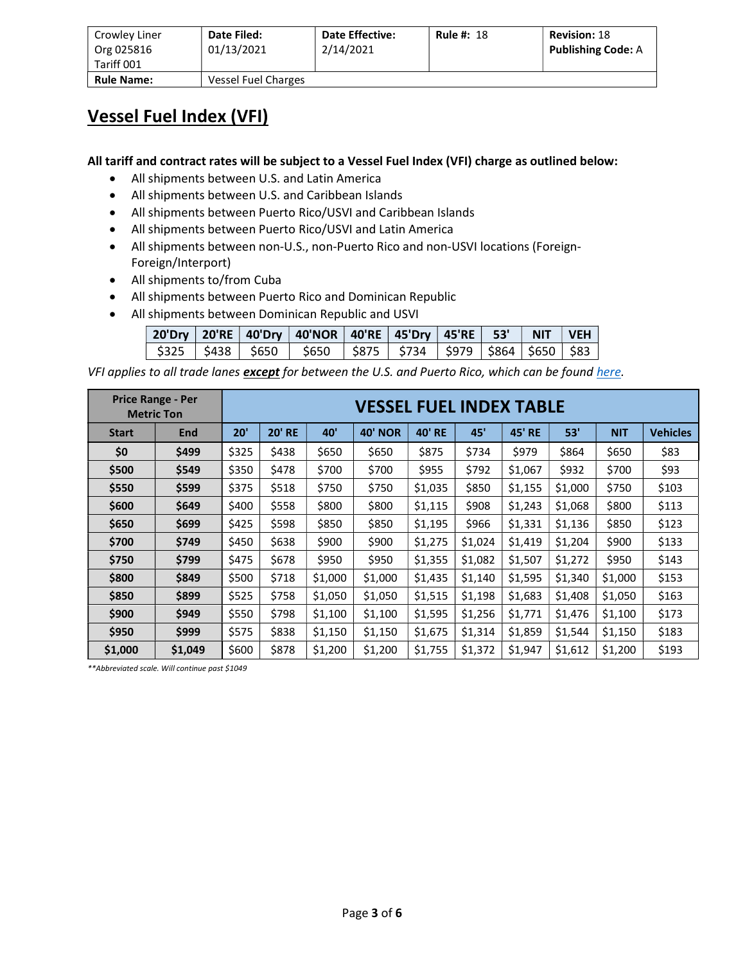| Crowley Liner<br>Org 025816<br>Tariff 001 | Date Filed:<br>01/13/2021 | <b>Date Effective:</b><br>2/14/2021 | <b>Rule #: 18</b> | <b>Revision: 18</b><br><b>Publishing Code: A</b> |
|-------------------------------------------|---------------------------|-------------------------------------|-------------------|--------------------------------------------------|
| <b>Rule Name:</b>                         | Vessel Fuel Charges       |                                     |                   |                                                  |

## Vessel Fuel Index (VFI)

All tariff and contract rates will be subject to a Vessel Fuel Index (VFI) charge as outlined below:

- All shipments between U.S. and Latin America
- All shipments between U.S. and Caribbean Islands
- All shipments between Puerto Rico/USVI and Caribbean Islands
- All shipments between Puerto Rico/USVI and Latin America
- All shipments between non-U.S., non-Puerto Rico and non-USVI locations (Foreign-Foreign/Interport)
- All shipments to/from Cuba
- All shipments between Puerto Rico and Dominican Republic
- All shipments between Dominican Republic and USVI

|  | 20'Dry   20'RE   40'Dry   40'NOR   40'RE   45'Dry   45'RE   53'   NIT   VEH  |  |  |  |
|--|------------------------------------------------------------------------------|--|--|--|
|  | \$325   \$438   \$650   \$650   \$875   \$734   \$979   \$864   \$650   \$83 |  |  |  |

VFI applies to all trade lanes except for between the U.S. and Puerto Rico, which can be found here.

|              | <b>Price Range - Per</b><br><b>Metric Ton</b> |       |               |         | <b>VESSEL FUEL INDEX TABLE</b> |               |         |               |         |            |                 |
|--------------|-----------------------------------------------|-------|---------------|---------|--------------------------------|---------------|---------|---------------|---------|------------|-----------------|
| <b>Start</b> | End                                           | 20'   | <b>20' RE</b> | 40'     | <b>40' NOR</b>                 | <b>40' RE</b> | 45'     | <b>45' RE</b> | 53'     | <b>NIT</b> | <b>Vehicles</b> |
| \$0          | \$499                                         | \$325 | \$438         | \$650   | \$650                          | \$875         | \$734   | \$979         | \$864   | \$650      | \$83            |
| \$500        | \$549                                         | \$350 | \$478         | \$700   | \$700                          | \$955         | \$792   | \$1,067       | \$932   | \$700      | \$93            |
| \$550        | \$599                                         | \$375 | \$518         | \$750   | \$750                          | \$1,035       | \$850   | \$1,155       | \$1,000 | \$750      | \$103           |
| \$600        | \$649                                         | \$400 | \$558         | \$800   | \$800                          | \$1,115       | \$908   | \$1,243       | \$1,068 | \$800      | \$113           |
| \$650        | \$699                                         | \$425 | \$598         | \$850   | \$850                          | \$1,195       | \$966   | \$1,331       | \$1,136 | \$850      | \$123           |
| \$700        | \$749                                         | \$450 | \$638         | \$900   | \$900                          | \$1,275       | \$1,024 | \$1,419       | \$1,204 | \$900      | \$133           |
| \$750        | \$799                                         | \$475 | \$678         | \$950   | \$950                          | \$1,355       | \$1,082 | \$1,507       | \$1,272 | \$950      | \$143           |
| \$800        | \$849                                         | \$500 | \$718         | \$1,000 | \$1,000                        | \$1,435       | \$1,140 | \$1,595       | \$1,340 | \$1,000    | \$153           |
| \$850        | \$899                                         | \$525 | \$758         | \$1,050 | \$1,050                        | \$1,515       | \$1,198 | \$1,683       | \$1,408 | \$1,050    | \$163           |
| \$900        | \$949                                         | \$550 | \$798         | \$1,100 | \$1,100                        | \$1,595       | \$1,256 | \$1,771       | \$1,476 | \$1,100    | \$173           |
| \$950        | \$999                                         | \$575 | \$838         | \$1,150 | \$1,150                        | \$1,675       | \$1,314 | \$1,859       | \$1,544 | \$1,150    | \$183           |
| \$1,000      | \$1,049                                       | \$600 | \$878         | \$1,200 | \$1,200                        | \$1,755       | \$1,372 | \$1,947       | \$1,612 | \$1,200    | \$193           |

\*\*Abbreviated scale. Will continue past \$1049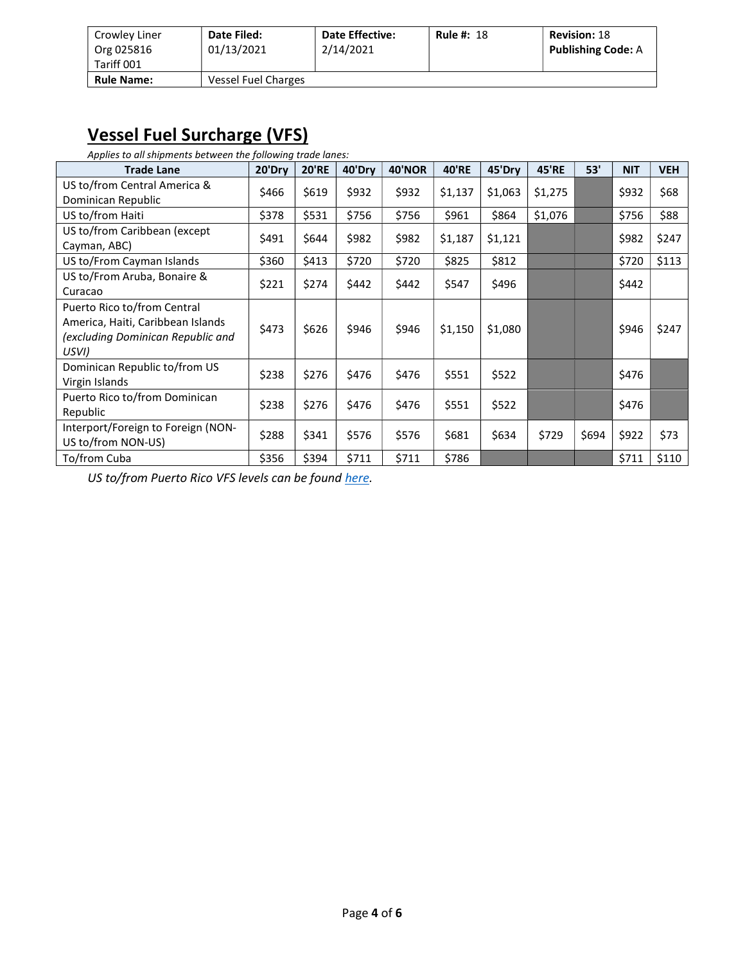| Crowley Liner<br>Org 025816<br>Tariff 001 | Date Filed:<br>01/13/2021  | <b>Date Effective:</b><br>2/14/2021 | <b>Rule #: 18</b> | <b>Revision: 18</b><br><b>Publishing Code: A</b> |
|-------------------------------------------|----------------------------|-------------------------------------|-------------------|--------------------------------------------------|
| <b>Rule Name:</b>                         | <b>Vessel Fuel Charges</b> |                                     |                   |                                                  |

## Vessel Fuel Surcharge (VFS)

Applies to all shipments between the following trade lanes:

| <b>Trade Lane</b>                                                                                              | 20'Dry | <b>20'RE</b> | 40'Dry | <b>40'NOR</b> | <b>40'RE</b> | 45'Dry  | <b>45'RE</b> | 53'   | <b>NIT</b> | <b>VEH</b> |
|----------------------------------------------------------------------------------------------------------------|--------|--------------|--------|---------------|--------------|---------|--------------|-------|------------|------------|
| US to/from Central America &<br>Dominican Republic                                                             | \$466  | \$619        | \$932  | \$932         | \$1,137      | \$1,063 | \$1,275      |       | \$932      | \$68       |
| US to/from Haiti                                                                                               | \$378  | \$531        | \$756  | \$756         | \$961        | \$864   | \$1,076      |       | \$756      | \$88       |
| US to/from Caribbean (except<br>Cayman, ABC)                                                                   | \$491  | \$644        | \$982  | \$982         | \$1,187      | \$1,121 |              |       | \$982      | \$247      |
| US to/From Cayman Islands                                                                                      | \$360  | \$413        | \$720  | \$720         | \$825        | \$812   |              |       | \$720      | \$113      |
| US to/From Aruba, Bonaire &<br>Curacao                                                                         | \$221  | \$274        | \$442  | \$442         | \$547        | \$496   |              |       | \$442      |            |
| Puerto Rico to/from Central<br>America, Haiti, Caribbean Islands<br>(excluding Dominican Republic and<br>USVI) | \$473  | \$626        | \$946  | \$946         | \$1,150      | \$1,080 |              |       | \$946      | \$247      |
| Dominican Republic to/from US<br>Virgin Islands                                                                | \$238  | \$276        | \$476  | \$476         | \$551        | \$522   |              |       | \$476      |            |
| Puerto Rico to/from Dominican<br>Republic                                                                      | \$238  | \$276        | \$476  | \$476         | \$551        | \$522   |              |       | \$476      |            |
| Interport/Foreign to Foreign (NON-<br>US to/from NON-US)                                                       | \$288  | \$341        | \$576  | \$576         | \$681        | \$634   | \$729        | \$694 | \$922      | \$73       |
| To/from Cuba                                                                                                   | \$356  | \$394        | \$711  | \$711         | \$786        |         |              |       | \$711      | \$110      |

US to/from Puerto Rico VFS levels can be found here.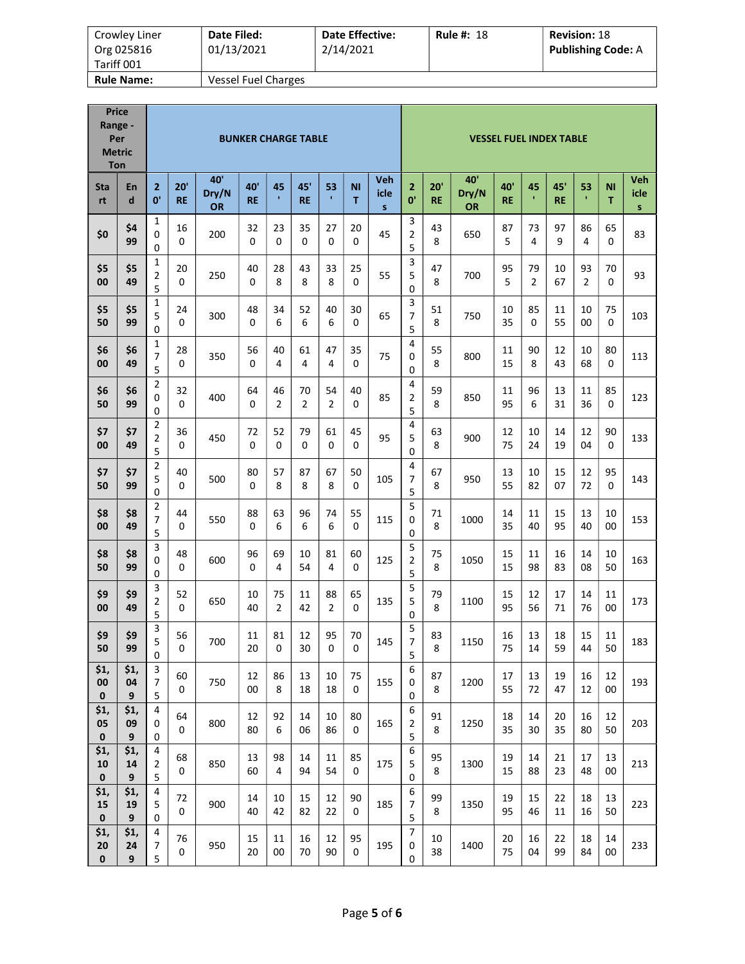| Crowley Liner<br>Org 025816<br>Tariff 001 | Date Filed:<br>01/13/2021 | <b>Date Effective:</b><br>2/14/2021 | <b>Rule #: 18</b> | <b>Revision: 18</b><br><b>Publishing Code: A</b> |
|-------------------------------------------|---------------------------|-------------------------------------|-------------------|--------------------------------------------------|
| <b>Rule Name:</b>                         | Vessel Fuel Charges       |                                     |                   |                                                  |

| <b>Price</b><br>Range -<br>Per<br><b>Metric</b><br>Ton |                                |                                                |                  |                           | <b>BUNKER CHARGE TABLE</b> |                      |                      |                      |                |                             |                                    |                  |                           |                  |                      | <b>VESSEL FUEL INDEX TABLE</b> |                      |                |                                    |
|--------------------------------------------------------|--------------------------------|------------------------------------------------|------------------|---------------------------|----------------------------|----------------------|----------------------|----------------------|----------------|-----------------------------|------------------------------------|------------------|---------------------------|------------------|----------------------|--------------------------------|----------------------|----------------|------------------------------------|
| Sta<br>rt                                              | En<br>d                        | $\overline{2}$<br>0'                           | 20'<br><b>RE</b> | 40'<br>Dry/N<br><b>OR</b> | 40'<br><b>RE</b>           | 45<br>$\mathbf{r}$   | 45'<br><b>RE</b>     | 53<br>$\mathbf{r}$   | <b>NI</b><br>т | Veh<br>icle<br>$\mathsf{s}$ | $\overline{2}$<br>0'               | 20'<br><b>RE</b> | 40'<br>Dry/N<br><b>OR</b> | 40'<br><b>RE</b> | 45<br>×              | 45'<br><b>RE</b>               | 53<br>$\mathbf{r}$   | <b>NI</b><br>T | <b>Veh</b><br>icle<br>$\mathsf{s}$ |
| \$0                                                    | \$4<br>99                      | 1<br>0<br>0                                    | 16<br>0          | 200                       | 32<br>0                    | 23<br>0              | 35<br>$\Omega$       | 27<br>$\Omega$       | 20<br>0        | 45                          | 3<br>$\overline{2}$<br>5           | 43<br>8          | 650                       | 87<br>5          | 73<br>4              | 97<br>9                        | 86<br>4              | 65<br>$\Omega$ | 83                                 |
| \$5<br>00                                              | \$5<br>49                      | $\mathbf{1}$<br>$\overline{2}$<br>5            | 20<br>0          | 250                       | 40<br>0                    | 28<br>8              | 43<br>8              | 33<br>8              | 25<br>$\Omega$ | 55                          | 3<br>5<br>0                        | 47<br>8          | 700                       | 95<br>5          | 79<br>$\overline{2}$ | 10<br>67                       | 93<br>$\overline{2}$ | 70<br>0        | 93                                 |
| \$5<br>50                                              | \$5<br>99                      | 1<br>5<br>0                                    | 24<br>0          | 300                       | 48<br>0                    | 34<br>6              | 52<br>6              | 40<br>6              | 30<br>$\Omega$ | 65                          | 3<br>7<br>5                        | 51<br>8          | 750                       | 10<br>35         | 85<br>$\Omega$       | 11<br>55                       | 10<br>00             | 75<br>$\Omega$ | 103                                |
| \$6<br>00                                              | \$6<br>49                      | 1<br>7<br>5                                    | 28<br>0          | 350                       | 56<br>0                    | 40<br>4              | 61<br>4              | 47<br>4              | 35<br>0        | 75                          | 4<br>0<br>0                        | 55<br>8          | 800                       | 11<br>15         | 90<br>8              | 12<br>43                       | 10<br>68             | 80<br>0        | 113                                |
| \$6<br>50                                              | \$6<br>99                      | 2<br>0<br>0                                    | 32<br>0          | 400                       | 64<br>0                    | 46<br>$\overline{2}$ | 70<br>$\overline{2}$ | 54<br>$\overline{2}$ | 40<br>$\Omega$ | 85                          | 4<br>$\overline{2}$<br>5           | 59<br>8          | 850                       | 11<br>95         | 96<br>6              | 13<br>31                       | 11<br>36             | 85<br>$\Omega$ | 123                                |
| \$7<br>00                                              | \$7<br>49                      | 2<br>$\overline{2}$<br>5                       | 36<br>0          | 450                       | 72<br>0                    | 52<br>0              | 79<br>0              | 61<br>0              | 45<br>0        | 95                          | 4<br>5<br>0                        | 63<br>8          | 900                       | 12<br>75         | 10<br>24             | 14<br>19                       | 12<br>04             | 90<br>0        | 133                                |
| \$7<br>50                                              | \$7<br>99                      | $\overline{2}$<br>5<br>0                       | 40<br>0          | 500                       | 80<br>0                    | 57<br>8              | 87<br>8              | 67<br>8              | 50<br>0        | 105                         | 4<br>7<br>5                        | 67<br>8          | 950                       | 13<br>55         | 10<br>82             | 15<br>07                       | 12<br>72             | 95<br>0        | 143                                |
| \$8<br>00                                              | \$8<br>49                      | 2<br>7<br>5                                    | 44<br>0          | 550                       | 88<br>0                    | 63<br>6              | 96<br>6              | 74<br>6              | 55<br>$\Omega$ | 115                         | 5<br>0<br>0                        | 71<br>8          | 1000                      | 14<br>35         | 11<br>40             | 15<br>95                       | 13<br>40             | 10<br>00       | 153                                |
| \$8<br>50                                              | \$8<br>99                      | 3<br>0<br>0                                    | 48<br>0          | 600                       | 96<br>0                    | 69<br>4              | 10<br>54             | 81<br>4              | 60<br>0        | 125                         | 5<br>$\overline{2}$<br>5           | 75<br>8          | 1050                      | 15<br>15         | 11<br>98             | 16<br>83                       | 14<br>08             | 10<br>50       | 163                                |
| \$9<br>00                                              | \$9<br>49                      | 3<br>2<br>5                                    | 52<br>0          | 650                       | 10<br>40                   | 75<br>$\overline{2}$ | 11<br>42             | 88<br>$\overline{2}$ | 65<br>$\Omega$ | 135                         | 5<br>5<br>0                        | 79<br>8          | 1100                      | 15<br>95         | 12<br>56             | 17<br>71                       | 14<br>76             | 11<br>00       | 173                                |
| \$9<br>50                                              | \$9<br>99                      | 3<br>5<br>0                                    | 56<br>$\Omega$   | 700                       | 11<br>20                   | 81<br>0              | 12<br>30             | 95<br>$\Omega$       | 70<br>0        | 145                         | 5<br>$\overline{7}$<br>5           | 83<br>8          | 1150                      | 16<br>75         | 13<br>14             | 18<br>59                       | 15<br>44             | 11<br>50       | 183                                |
| \$1,<br>00<br>$\pmb{0}$                                | \$1,<br>04<br>$\boldsymbol{9}$ | 3<br>$\overline{7}$<br>5                       | 60<br>0          | 750                       | 12<br>00                   | 86<br>8              | 13<br>18             | 10<br>18             | 75<br>0        | 155                         | 6<br>0<br>$\mathbf 0$              | 87<br>8          | 1200                      | 17<br>55         | 13<br>72             | 19<br>47                       | 16<br>12             | 12<br>00       | 193                                |
| \$1,<br>05<br>$\pmb{0}$                                | \$1,<br>09<br>$\boldsymbol{9}$ | 4<br>0<br>0                                    | 64<br>0          | 800                       | 12<br>80                   | 92<br>6              | 14<br>06             | 10<br>86             | 80<br>0        | 165                         | 6<br>$\overline{2}$<br>5           | 91<br>8          | 1250                      | 18<br>35         | 14<br>30             | 20<br>35                       | 16<br>80             | 12<br>50       | 203                                |
| \$1,<br>10<br>$\pmb{0}$                                | \$1,<br>14<br>$\boldsymbol{9}$ | $\overline{\mathbf{4}}$<br>$\overline{2}$<br>5 | 68<br>0          | 850                       | 13<br>60                   | 98<br>$\overline{4}$ | 14<br>94             | 11<br>54             | 85<br>0        | 175                         | $\boldsymbol{6}$<br>5<br>$\pmb{0}$ | 95<br>8          | 1300                      | 19<br>15         | 14<br>88             | 21<br>23                       | 17<br>48             | 13<br>00       | 213                                |
| \$1,<br>15<br>$\pmb{0}$                                | \$1,<br>19<br>9                | 4<br>5<br>0                                    | 72<br>0          | 900                       | 14<br>40                   | 10<br>42             | 15<br>82             | 12<br>22             | 90<br>0        | 185                         | 6<br>7<br>5                        | 99<br>8          | 1350                      | 19<br>95         | 15<br>46             | 22<br>11                       | 18<br>16             | 13<br>50       | 223                                |
| \$1,<br>${\bf 20}$<br>$\mathbf 0$                      | \$1,<br>24<br>9                | $\overline{\mathbf{4}}$<br>7<br>5              | 76<br>0          | 950                       | 15<br>20                   | 11<br>00             | 16<br>70             | 12<br>90             | 95<br>0        | 195                         | $\overline{7}$<br>0<br>0           | 10<br>38         | 1400                      | 20<br>75         | 16<br>04             | 22<br>99                       | 18<br>84             | 14<br>00       | 233                                |